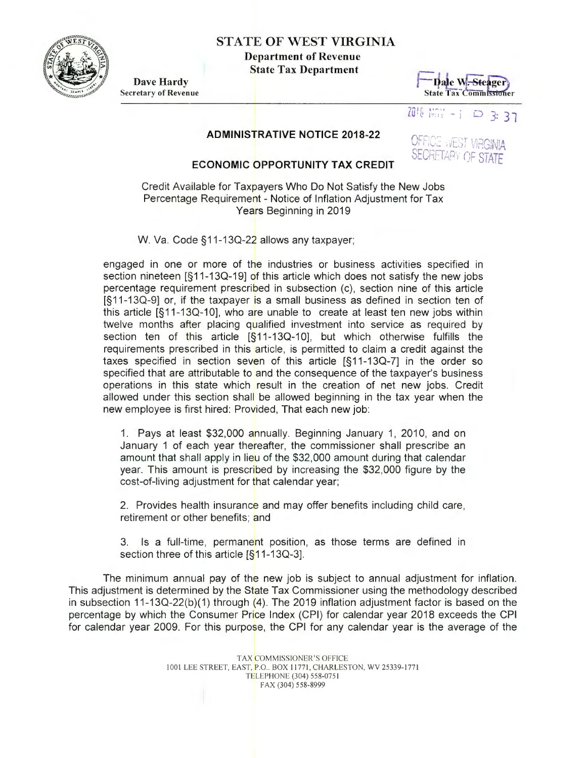

# STATE OF WEST VIRGINIA

Department of Revenue State Tax Department

Dave Hardy Secretary of Revenue



7018 照 -: 0337

OFFICE WEST VIRGINIA **SECRETARY OF STATE** 

### ADMINISTRATIVE NOTICE 2018-22

## ECONOMIC OPPORTUNITY TAX CREDIT

Credit Available for Taxpayers Who Do Not Satisfy the New Jobs Percentage Requirement - Notice of Inflation Adjustment for Tax Years Beginning in 2019

W. Va. Code §11-13Q-22 allows any taxpayer;

engaged in one or more of the industries or business activities specified in section nineteen [§11-130-19) of this article which does not satisfy the new jobs percentage requirement prescribed in subsection (c), section nine of this article [§ 11 -130-9) or, if the taxpayer is a small business as defined in section ten of this article [§ 11-130-10], who are unable to create at least ten new jobs within twelve months after placing qualified investment into service as required by section ten of this article  $[\S 11-13Q-10]$ , but which otherwise fulfills the requirements prescribed in this article, is permitted to claim a credit against the taxes specified in section seven of this article [§11-13Q-7] in the order so specified that are attributable to and the consequence of the taxpayer's business operations in this state which result in the creation of net new jobs. Credit allowed under this section shall be allowed beginning in the tax year when the new employee is first hired: Provided, That each new job:

1. Pays at least \$32,000 annually. Beginning January 1, 2010, and on January 1 of each year thereafter, the commissioner shall prescribe an amount that shall apply in lieu of the \$32,000 amount during that calendar year. This amount is prescribed by increasing the \$32,000 figure by the cost-of-living adjustment for that calendar year;

2. Provides health insurance and may offer benefits including child care, retirement or other benefits; and

3. Is a full-time, permanent position, as those terms are defined in section three of this article [§11-13Q-3].

The minimum annual pay of the new job is subject to annual adjustment for inflation. This adjustment is determined by the State Tax Commissioner using the methodology described in subsection 11-130-22(b)(1) through (4). The 2019 inflation adjustment factor is based on the percentage by which the Consumer Price Index (CPI) for calendar year 2018 exceeds the CPI for calendar year 2009. For this purpose, the CPI for any calendar year is the average of the